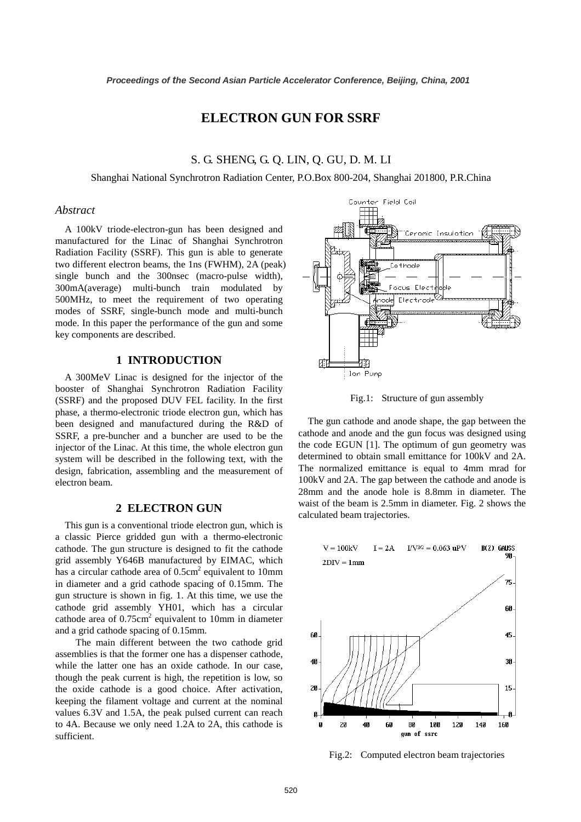# **ELECTRON GUN FOR SSRF**

## S. G. SHENG, G. Q. LIN, Q. GU, D. M. LI

Shanghai National Synchrotron Radiation Center, P.O.Box 800-204, Shanghai 201800, P.R.China

### *Abstract*

A 100kV triode-electron-gun has been designed and manufactured for the Linac of Shanghai Synchrotron Radiation Facility (SSRF). This gun is able to generate two different electron beams, the 1ns (FWHM), 2A (peak) single bunch and the 300nsec (macro-pulse width), 300mA(average) multi-bunch train modulated by 500MHz, to meet the requirement of two operating modes of SSRF, single-bunch mode and multi-bunch mode. In this paper the performance of the gun and some key components are described.

### **1 INTRODUCTION**

A 300MeV Linac is designed for the injector of the booster of Shanghai Synchrotron Radiation Facility (SSRF) and the proposed DUV FEL facility. In the first phase, a thermo-electronic triode electron gun, which has been designed and manufactured during the R&D of SSRF, a pre-buncher and a buncher are used to be the injector of the Linac. At this time, the whole electron gun system will be described in the following text, with the design, fabrication, assembling and the measurement of electron beam.

#### **2 ELECTRON GUN**

This gun is a conventional triode electron gun, which is a classic Pierce gridded gun with a thermo-electronic cathode. The gun structure is designed to fit the cathode grid assembly Y646B manufactured by EIMAC, which has a circular cathode area of  $0.5 \text{cm}^2$  equivalent to 10mm in diameter and a grid cathode spacing of 0.15mm. The gun structure is shown in fig. 1. At this time, we use the cathode grid assembly YH01, which has a circular cathode area of  $0.75 \text{cm}^2$  equivalent to 10mm in diameter and a grid cathode spacing of 0.15mm.

 The main different between the two cathode grid assemblies is that the former one has a dispenser cathode, while the latter one has an oxide cathode. In our case, though the peak current is high, the repetition is low, so the oxide cathode is a good choice. After activation, keeping the filament voltage and current at the nominal values 6.3V and 1.5A, the peak pulsed current can reach to 4A. Because we only need 1.2A to 2A, this cathode is sufficient.

Counter Field Coil Ceromic Insulation Cathode 'ocus Elect Electrode hode ИI : Jon Pump

Fig.1: Structure of gun assembly

The gun cathode and anode shape, the gap between the cathode and anode and the gun focus was designed using the code EGUN [1]. The optimum of gun geometry was determined to obtain small emittance for 100kV and 2A. The normalized emittance is equal to 4mm mrad for 100kV and 2A. The gap between the cathode and anode is 28mm and the anode hole is 8.8mm in diameter. The waist of the beam is 2.5mm in diameter. Fig. 2 shows the calculated beam trajectories.



Fig.2: Computed electron beam trajectories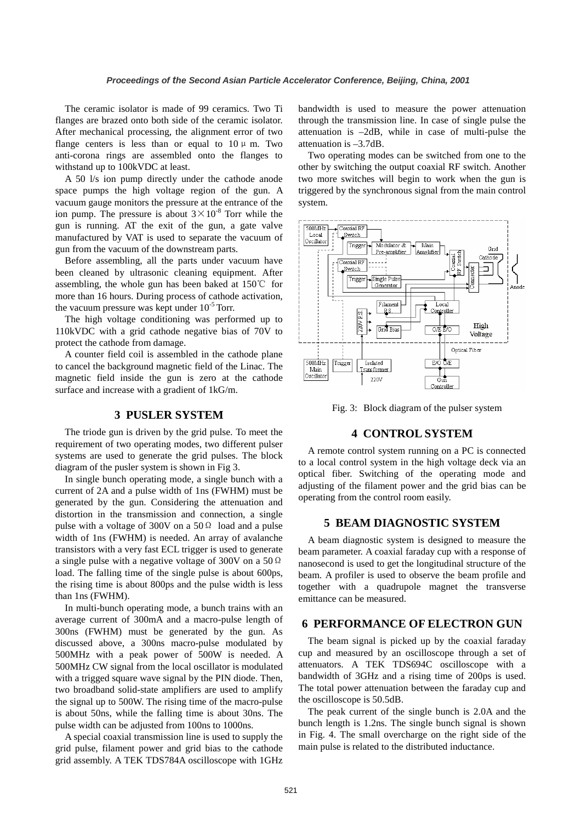The ceramic isolator is made of 99 ceramics. Two Ti flanges are brazed onto both side of the ceramic isolator. After mechanical processing, the alignment error of two flange centers is less than or equal to  $10 \mu$  m. Two anti-corona rings are assembled onto the flanges to withstand up to 100kVDC at least.

A 50 l/s ion pump directly under the cathode anode space pumps the high voltage region of the gun. A vacuum gauge monitors the pressure at the entrance of the ion pump. The pressure is about  $3 \times 10^{-8}$  Torr while the gun is running. AT the exit of the gun, a gate valve manufactured by VAT is used to separate the vacuum of gun from the vacuum of the downstream parts.

Before assembling, all the parts under vacuum have been cleaned by ultrasonic cleaning equipment. After assembling, the whole gun has been baked at 150℃ for more than 16 hours. During process of cathode activation, the vacuum pressure was kept under  $10^{-5}$  Torr.

The high voltage conditioning was performed up to 110kVDC with a grid cathode negative bias of 70V to protect the cathode from damage.

A counter field coil is assembled in the cathode plane to cancel the background magnetic field of the Linac. The magnetic field inside the gun is zero at the cathode surface and increase with a gradient of 1kG/m.

#### **3 PUSLER SYSTEM**

The triode gun is driven by the grid pulse. To meet the requirement of two operating modes, two different pulser systems are used to generate the grid pulses. The block diagram of the pusler system is shown in Fig 3.

In single bunch operating mode, a single bunch with a current of 2A and a pulse width of 1ns (FWHM) must be generated by the gun. Considering the attenuation and distortion in the transmission and connection, a single pulse with a voltage of 300V on a  $50\Omega$  load and a pulse width of 1ns (FWHM) is needed. An array of avalanche transistors with a very fast ECL trigger is used to generate a single pulse with a negative voltage of 300V on a 50Ω load. The falling time of the single pulse is about 600ps, the rising time is about 800ps and the pulse width is less than 1ns (FWHM).

In multi-bunch operating mode, a bunch trains with an average current of 300mA and a macro-pulse length of 300ns (FWHM) must be generated by the gun. As discussed above, a 300ns macro-pulse modulated by 500MHz with a peak power of 500W is needed. A 500MHz CW signal from the local oscillator is modulated with a trigged square wave signal by the PIN diode. Then, two broadband solid-state amplifiers are used to amplify the signal up to 500W. The rising time of the macro-pulse is about 50ns, while the falling time is about 30ns. The pulse width can be adjusted from 100ns to 1000ns.

A special coaxial transmission line is used to supply the grid pulse, filament power and grid bias to the cathode grid assembly. A TEK TDS784A oscilloscope with 1GHz bandwidth is used to measure the power attenuation through the transmission line. In case of single pulse the attenuation is –2dB, while in case of multi-pulse the attenuation is –3.7dB.

Two operating modes can be switched from one to the other by switching the output coaxial RF switch. Another two more switches will begin to work when the gun is triggered by the synchronous signal from the main control system.



Fig. 3: Block diagram of the pulser system

#### **4 CONTROL SYSTEM**

A remote control system running on a PC is connected to a local control system in the high voltage deck via an optical fiber. Switching of the operating mode and adjusting of the filament power and the grid bias can be operating from the control room easily.

#### **5 BEAM DIAGNOSTIC SYSTEM**

A beam diagnostic system is designed to measure the beam parameter. A coaxial faraday cup with a response of nanosecond is used to get the longitudinal structure of the beam. A profiler is used to observe the beam profile and together with a quadrupole magnet the transverse emittance can be measured.

### **6 PERFORMANCE OF ELECTRON GUN**

The beam signal is picked up by the coaxial faraday cup and measured by an oscilloscope through a set of attenuators. A TEK TDS694C oscilloscope with a bandwidth of 3GHz and a rising time of 200ps is used. The total power attenuation between the faraday cup and the oscilloscope is 50.5dB.

The peak current of the single bunch is 2.0A and the bunch length is 1.2ns. The single bunch signal is shown in Fig. 4. The small overcharge on the right side of the main pulse is related to the distributed inductance.